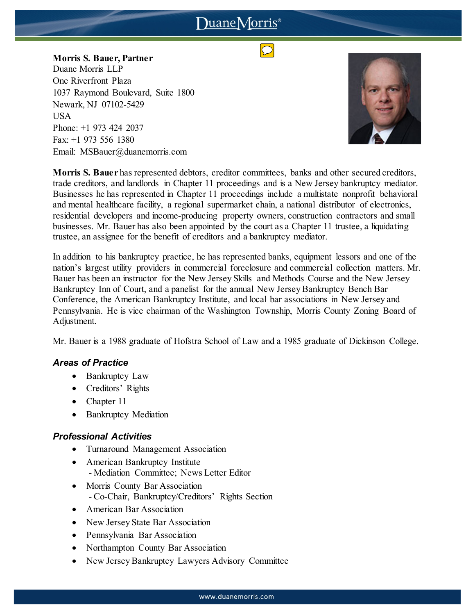# DuaneMorris<sup>®</sup>

**Morris S. Bauer, Partner** Duane Morris LLP One Riverfront Plaza 1037 Raymond Boulevard, Suite 1800 Newark, NJ 07102-5429 USA Phone: +1 973 424 2037 Fax: +1 973 556 1380 Email: MSBauer@duanemorris.com



**Morris S. Bauer** has represented debtors, creditor committees, banks and other secured creditors, trade creditors, and landlords in Chapter 11 proceedings and is a New Jersey bankruptcy mediator. Businesses he has represented in Chapter 11 proceedings include a multistate nonprofit behavioral and mental healthcare facility, a regional supermarket chain, a national distributor of electronics, residential developers and income-producing property owners, construction contractors and small businesses. Mr. Bauer has also been appointed by the court as a Chapter 11 trustee, a liquidating trustee, an assignee for the benefit of creditors and a bankruptcy mediator.

In addition to his bankruptcy practice, he has represented banks, equipment lessors and one of the nation's largest utility providers in commercial foreclosure and commercial collection matters. Mr. Bauer has been an instructor for the New Jersey Skills and Methods Course and the New Jersey Bankruptcy Inn of Court, and a panelist for the annual New Jersey Bankruptcy Bench Bar Conference, the American Bankruptcy Institute, and local bar associations in New Jersey and Pennsylvania. He is vice chairman of the Washington Township, Morris County Zoning Board of Adjustment.

Mr. Bauer is a 1988 graduate of Hofstra School of Law and a 1985 graduate of Dickinson College.

## *Areas of Practice*

- Bankruptcy Law
- Creditors' Rights
- Chapter 11
- Bankruptcy Mediation

## *Professional Activities*

- Turnaround Management Association
- American Bankruptcy Institute - Mediation Committee; News Letter Editor
- Morris County Bar Association - Co-Chair, Bankruptcy/Creditors' Rights Section
- American Bar Association
- New Jersey State Bar Association
- Pennsylvania Bar Association
- Northampton County Bar Association
- New Jersey Bankruptcy Lawyers Advisory Committee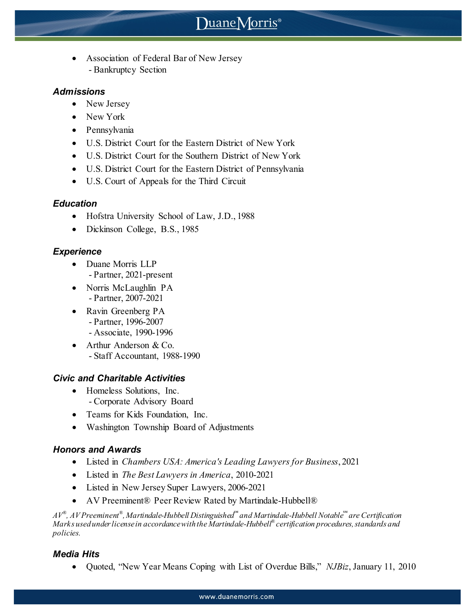# Duane Morris<sup>®</sup>

• Association of Federal Bar of New Jersey - Bankruptcy Section

## *Admissions*

- New Jersey
- New York
- Pennsylvania
- U.S. District Court for the Eastern District of New York
- U.S. District Court for the Southern District of New York
- U.S. District Court for the Eastern District of Pennsylvania
- U.S. Court of Appeals for the Third Circuit

## *Education*

- Hofstra University School of Law, J.D., 1988
- Dickinson College, B.S., 1985

## *Experience*

- Duane Morris LLP - Partner, 2021-present
- Norris McLaughlin PA - Partner, 2007-2021
- Ravin Greenberg PA - Partner, 1996-2007 - Associate, 1990-1996
- Arthur Anderson & Co. - Staff Accountant, 1988-1990

## *Civic and Charitable Activities*

- Homeless Solutions, Inc. - Corporate Advisory Board
- Teams for Kids Foundation, Inc.
- Washington Township Board of Adjustments

## *Honors and Awards*

- Listed in *Chambers USA: America's Leading Lawyers for Business*, 2021
- Listed in *The Best Lawyers in America*, 2010-2021
- Listed in New Jersey Super Lawyers, 2006-2021
- AV Preeminent® Peer Review Rated by Martindale-Hubbell®

*AV® , AV Preeminent® , Martindale-Hubbell Distinguished℠ and Martindale-Hubbell Notable℠ are Certification Marks used under license in accordance with the Martindale-Hubbell® certification procedures, standards and policies.*

## *Media Hits*

• Quoted, "New Year Means Coping with List of Overdue Bills," *NJBiz*, January 11, 2010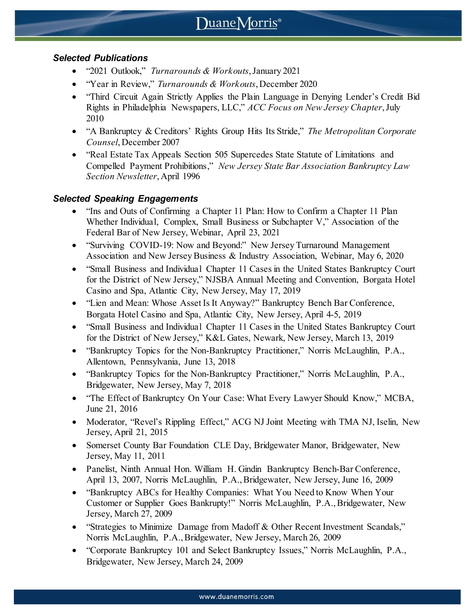# *Selected Publications*

- "2021 Outlook," *Turnarounds & Workouts*, January 2021
- "Year in Review," *Turnarounds & Workouts*, December 2020
- "Third Circuit Again Strictly Applies the Plain Language in Denying Lender's Credit Bid Rights in Philadelphia Newspapers, LLC," *ACC Focus on New Jersey Chapter*, July 2010
- "A Bankruptcy & Creditors' Rights Group Hits Its Stride," *The Metropolitan Corporate Counsel*, December 2007
- "Real Estate Tax Appeals Section 505 Supercedes State Statute of Limitations and Compelled Payment Prohibitions," *New Jersey State Bar Association Bankruptcy Law Section Newsletter*, April 1996

## *Selected Speaking Engagements*

- "Ins and Outs of Confirming a Chapter 11 Plan: How to Confirm a Chapter 11 Plan Whether Individual, Complex, Small Business or Subchapter V," Association of the Federal Bar of New Jersey, Webinar, April 23, 2021
- "Surviving COVID-19: Now and Beyond:" New Jersey Turnaround Management Association and New Jersey Business & Industry Association, Webinar, May 6, 2020
- "Small Business and Individual Chapter 11 Cases in the United States Bankruptcy Court for the District of New Jersey," NJSBA Annual Meeting and Convention, Borgata Hotel Casino and Spa, Atlantic City, New Jersey, May 17, 2019
- "Lien and Mean: Whose Asset Is It Anyway?" Bankruptcy Bench Bar Conference, Borgata Hotel Casino and Spa, Atlantic City, New Jersey, April 4-5, 2019
- "Small Business and Individual Chapter 11 Cases in the United States Bankruptcy Court for the District of New Jersey," K&L Gates, Newark, New Jersey, March 13, 2019
- "Bankruptcy Topics for the Non-Bankruptcy Practitioner," Norris McLaughlin, P.A., Allentown, Pennsylvania, June 13, 2018
- "Bankruptcy Topics for the Non-Bankruptcy Practitioner," Norris McLaughlin, P.A., Bridgewater, New Jersey, May 7, 2018
- "The Effect of Bankruptcy On Your Case: What Every Lawyer Should Know," MCBA, June 21, 2016
- Moderator, "Revel's Rippling Effect," ACG NJ Joint Meeting with TMA NJ, Iselin, New Jersey, April 21, 2015
- Somerset County Bar Foundation CLE Day, Bridgewater Manor, Bridgewater, New Jersey, May 11, 2011
- Panelist, Ninth Annual Hon. William H. Gindin Bankruptcy Bench-Bar Conference, April 13, 2007, Norris McLaughlin, P.A., Bridgewater, New Jersey, June 16, 2009
- "Bankruptcy ABCs for Healthy Companies: What You Need to Know When Your Customer or Supplier Goes Bankrupty!" Norris McLaughlin, P.A., Bridgewater, New Jersey, March 27, 2009
- "Strategies to Minimize Damage from Madoff & Other Recent Investment Scandals," Norris McLaughlin, P.A., Bridgewater, New Jersey, March 26, 2009
- "Corporate Bankruptcy 101 and Select Bankruptcy Issues," Norris McLaughlin, P.A., Bridgewater, New Jersey, March 24, 2009